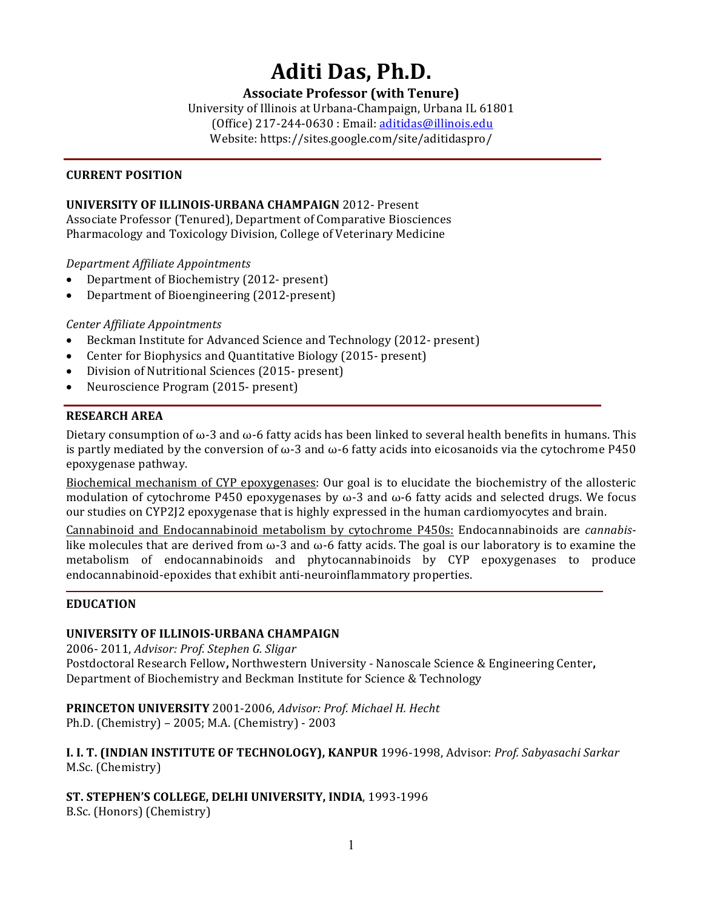# Aditi Das, Ph.D.

# **Associate Professor (with Tenure)**

University of Illinois at Urbana-Champaign, Urbana IL 61801 (Office) 217-244-0630 : Email: aditidas@illinois.edu Website: https://sites.google.com/site/aditidaspro/

#### **CURRENT POSITION**

#### **UNIVERSITY OF ILLINOIS-URBANA CHAMPAIGN 2012-Present**

Associate Professor (Tenured), Department of Comparative Biosciences Pharmacology and Toxicology Division, College of Veterinary Medicine

*Department Affiliate Appointments*

- Department of Biochemistry (2012- present)
- Department of Bioengineering (2012-present)

*Center Affiliate Appointments*

- Beckman Institute for Advanced Science and Technology (2012- present)
- Center for Biophysics and Quantitative Biology (2015- present)
- Division of Nutritional Sciences (2015- present)
- Neuroscience Program (2015- present)

#### **RESEARCH AREA**

Dietary consumption of  $\omega$ -3 and  $\omega$ -6 fatty acids has been linked to several health benefits in humans. This is partly mediated by the conversion of  $\omega$ -3 and  $\omega$ -6 fatty acids into eicosanoids via the cytochrome P450 epoxygenase pathway.

Biochemical mechanism of CYP epoxygenases: Our goal is to elucidate the biochemistry of the allosteric modulation of cytochrome P450 epoxygenases by  $\omega$ -3 and  $\omega$ -6 fatty acids and selected drugs. We focus our studies on CYP2J2 epoxygenase that is highly expressed in the human cardiomyocytes and brain.

Cannabinoid and Endocannabinoid metabolism by cytochrome P450s: Endocannabinoids are *cannabis*like molecules that are derived from  $\omega$ -3 and  $\omega$ -6 fatty acids. The goal is our laboratory is to examine the metabolism of endocannabinoids and phytocannabinoids by CYP epoxygenases to produce endocannabinoid-epoxides that exhibit anti-neuroinflammatory properties.

#### **EDUCATION**

#### **UNIVERSITY OF ILLINOIS-URBANA CHAMPAIGN**

2006- 2011, *Advisor: Prof. Stephen G. Sligar* 

Postdoctoral Research Fellow, Northwestern University - Nanoscale Science & Engineering Center, Department of Biochemistry and Beckman Institute for Science & Technology

**PRINCETON UNIVERSITY** 2001-2006, Advisor: Prof. Michael H. Hecht Ph.D. (Chemistry) - 2005; M.A. (Chemistry) - 2003

**I. I. T. (INDIAN INSTITUTE OF TECHNOLOGY), KANPUR** 1996-1998, Advisor: Prof. Sabyasachi Sarkar M.Sc. (Chemistry)

ST. STEPHEN'S COLLEGE, DELHI UNIVERSITY, INDIA, 1993-1996

B.Sc. (Honors) (Chemistry)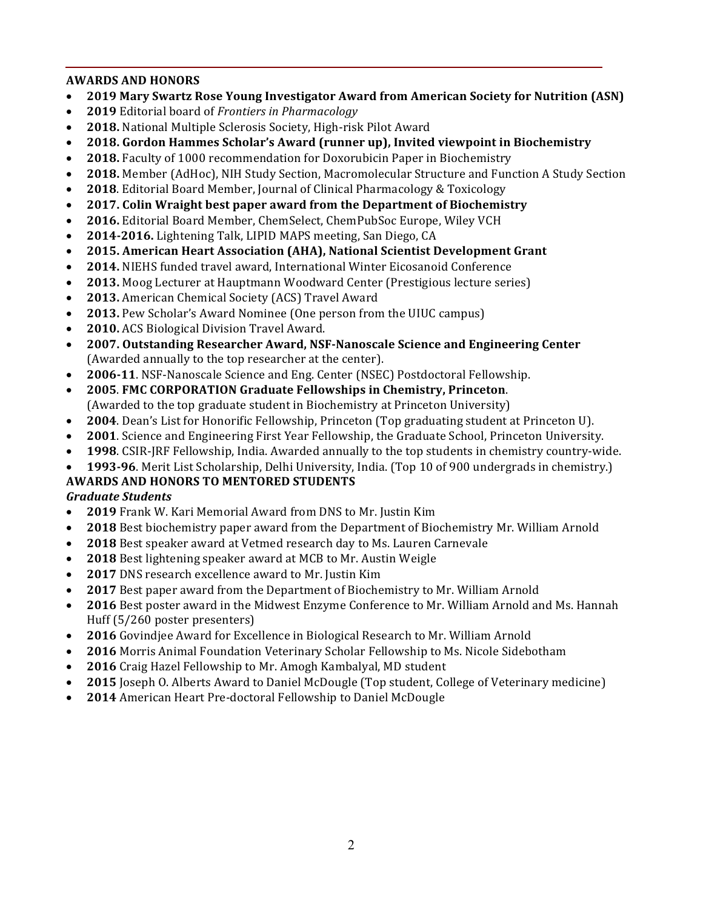# **AWARDS AND HONORS**

- **2019 Mary Swartz Rose Young Investigator Award from American Society for Nutrition (ASN)**
- **2019** Editorial board of *Frontiers in Pharmacology*
- 2018. National Multiple Sclerosis Society, High-risk Pilot Award
- **2018. Gordon Hammes Scholar's Award (runner up), Invited viewpoint in Biochemistry**
- 2018. Faculty of 1000 recommendation for Doxorubicin Paper in Biochemistry
- 2018. Member (AdHoc), NIH Study Section, Macromolecular Structure and Function A Study Section
- 2018. Editorial Board Member, Journal of Clinical Pharmacology & Toxicology
- **2017. Colin Wraight best paper award from the Department of Biochemistry**
- 2016. Editorial Board Member, ChemSelect, ChemPubSoc Europe, Wiley VCH
- **2014-2016.** Lightening Talk, LIPID MAPS meeting, San Diego, CA
- 2015. American Heart Association (AHA), National Scientist Development Grant
- 2014. NIEHS funded travel award, International Winter Eicosanoid Conference
- **2013.** Moog Lecturer at Hauptmann Woodward Center (Prestigious lecture series)
- 2013. American Chemical Society (ACS) Travel Award
- **2013.** Pew Scholar's Award Nominee (One person from the UIUC campus)
- **2010.** ACS Biological Division Travel Award.
- 2007. Outstanding Researcher Award, NSF-Nanoscale Science and Engineering Center (Awarded annually to the top researcher at the center).
- **2006-11**. NSF-Nanoscale Science and Eng. Center (NSEC) Postdoctoral Fellowship.
- **2005**. **FMC CORPORATION Graduate Fellowships in Chemistry, Princeton**. (Awarded to the top graduate student in Biochemistry at Princeton University)
- **2004**. Dean's List for Honorific Fellowship, Princeton (Top graduating student at Princeton U).
- 2001. Science and Engineering First Year Fellowship, the Graduate School, Princeton University.
- **1998.** CSIR-JRF Fellowship, India. Awarded annually to the top students in chemistry country-wide.
- **1993-96**. Merit List Scholarship, Delhi University, India. (Top 10 of 900 undergrads in chemistry.)

#### **AWARDS AND HONORS TO MENTORED STUDENTS** *Graduate Students*

- 2019 Frank W. Kari Memorial Award from DNS to Mr. Justin Kim
- 2018 Best biochemistry paper award from the Department of Biochemistry Mr. William Arnold
- 2018 Best speaker award at Vetmed research day to Ms. Lauren Carnevale
- **2018** Best lightening speaker award at MCB to Mr. Austin Weigle
- 2017 DNS research excellence award to Mr. Justin Kim
- 2017 Best paper award from the Department of Biochemistry to Mr. William Arnold
- 2016 Best poster award in the Midwest Enzyme Conference to Mr. William Arnold and Ms. Hannah Huff (5/260 poster presenters)
- 2016 Govindjee Award for Excellence in Biological Research to Mr. William Arnold
- 2016 Morris Animal Foundation Veterinary Scholar Fellowship to Ms. Nicole Sidebotham
- 2016 Craig Hazel Fellowship to Mr. Amogh Kambalyal, MD student
- 2015 Joseph O. Alberts Award to Daniel McDougle (Top student, College of Veterinary medicine)
- 2014 American Heart Pre-doctoral Fellowship to Daniel McDougle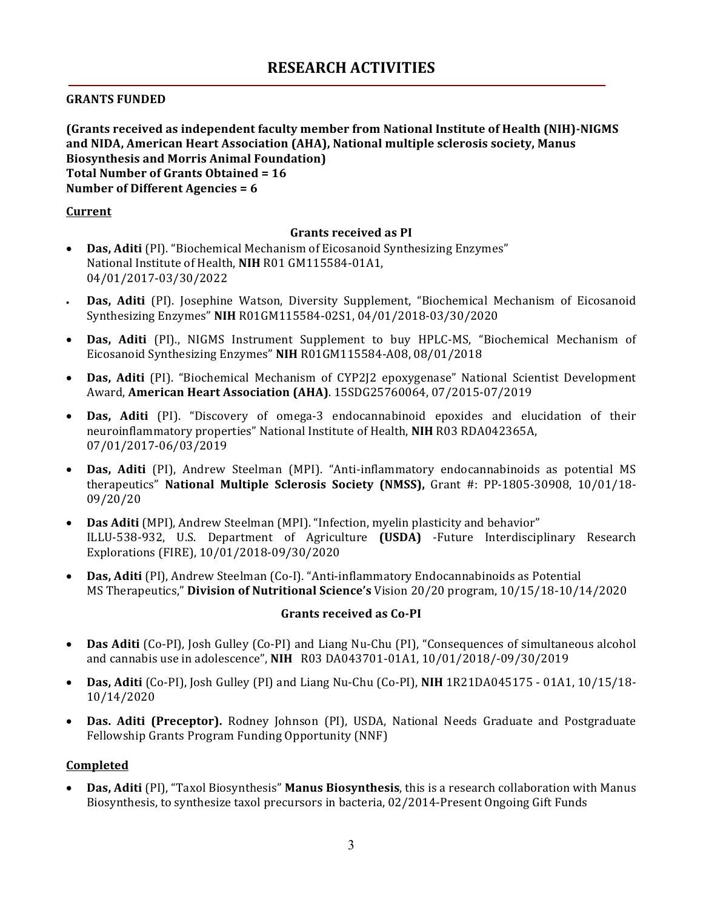### **GRANTS FUNDED**

**(Grants received as independent faculty member from National Institute of Health (NIH)-NIGMS** and NIDA, American Heart Association (AHA), National multiple sclerosis society, Manus **Biosynthesis and Morris Animal Foundation) Total Number of Grants Obtained = 16 Number of Different Agencies = 6** 

#### **Current**

#### Grants received as PI

- Das, Aditi (PI). "Biochemical Mechanism of Eicosanoid Synthesizing Enzymes" National Institute of Health, NIH R01 GM115584-01A1, 04/01/2017-03/30/2022
- **Das, Aditi** (PI). Josephine Watson, Diversity Supplement, "Biochemical Mechanism of Eicosanoid Synthesizing Enzymes" **NIH** R01GM115584-02S1, 04/01/2018-03/30/2020
- Das, Aditi (PI)., NIGMS Instrument Supplement to buy HPLC-MS, "Biochemical Mechanism of Eicosanoid Synthesizing Enzymes" **NIH** R01GM115584-A08, 08/01/2018
- **Das, Aditi** (PI). "Biochemical Mechanism of CYP2J2 epoxygenase" National Scientist Development Award, **American Heart Association (AHA)**. 15SDG25760064, 07/2015-07/2019
- Das, Aditi (PI). "Discovery of omega-3 endocannabinoid epoxides and elucidation of their neuroinflammatory properties" National Institute of Health, NIH R03 RDA042365A, 07/01/2017-06/03/2019
- **Das, Aditi** (PI), Andrew Steelman (MPI). "Anti-inflammatory endocannabinoids as potential MS therapeutics" National Multiple Sclerosis Society (NMSS), Grant #: PP-1805-30908, 10/01/18-09/20/20
- Das Aditi (MPI), Andrew Steelman (MPI). "Infection, myelin plasticity and behavior" ILLU-538-932, U.S. Department of Agriculture (USDA) -Future Interdisciplinary Research Explorations (FIRE), 10/01/2018-09/30/2020
- **Das, Aditi** (PI), Andrew Steelman (Co-I). "Anti-inflammatory Endocannabinoids as Potential MS Therapeutics," **Division of Nutritional Science's** Vision 20/20 program, 10/15/18-10/14/2020

#### **Grants received as Co-PI**

- Das Aditi (Co-PI), Josh Gulley (Co-PI) and Liang Nu-Chu (PI), "Consequences of simultaneous alcohol and cannabis use in adolescence", NIH R03 DA043701-01A1, 10/01/2018/-09/30/2019
- Das, Aditi (Co-PI), Josh Gulley (PI) and Liang Nu-Chu (Co-PI), NIH 1R21DA045175 01A1, 10/15/18-10/14/2020
- Das. Aditi (Preceptor). Rodney Johnson (PI), USDA, National Needs Graduate and Postgraduate Fellowship Grants Program Funding Opportunity (NNF)

#### **Completed**

• **Das, Aditi** (PI), "Taxol Biosynthesis" **Manus Biosynthesis**, this is a research collaboration with Manus Biosynthesis, to synthesize taxol precursors in bacteria, 02/2014-Present Ongoing Gift Funds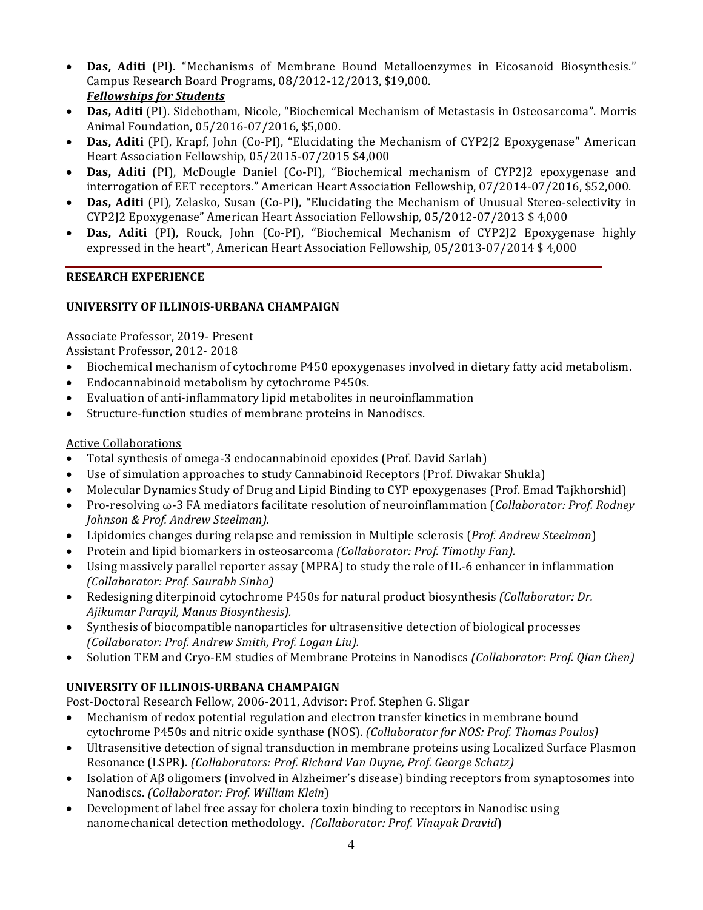- Das, Aditi (PI). "Mechanisms of Membrane Bound Metalloenzymes in Eicosanoid Biosynthesis." Campus Research Board Programs, 08/2012-12/2013, \$19,000. *Fellowships for Students*
- Das, Aditi (PI). Sidebotham, Nicole, "Biochemical Mechanism of Metastasis in Osteosarcoma". Morris Animal Foundation, 05/2016-07/2016, \$5,000.
- **Das, Aditi** (PI), Krapf, John (Co-PI), "Elucidating the Mechanism of CYP2J2 Epoxygenase" American Heart Association Fellowship, 05/2015-07/2015 \$4,000
- **Das, Aditi** (PI), McDougle Daniel (Co-PI), "Biochemical mechanism of CYP2I2 epoxygenase and interrogation of EET receptors." American Heart Association Fellowship, 07/2014-07/2016, \$52,000.
- **Das, Aditi** (PI), Zelasko, Susan (Co-PI), "Elucidating the Mechanism of Unusual Stereo-selectivity in CYP2J2 Epoxygenase" American Heart Association Fellowship, 05/2012-07/2013 \$ 4,000
- **Das, Aditi** (PI), Rouck, John (Co-PI), "Biochemical Mechanism of CYP2J2 Epoxygenase highly expressed in the heart", American Heart Association Fellowship, 05/2013-07/2014 \$4,000

# **RESEARCH EXPERIENCE**

# **UNIVERSITY OF ILLINOIS-URBANA CHAMPAIGN**

Associate Professor, 2019- Present

Assistant Professor, 2012-2018

- Biochemical mechanism of cytochrome P450 epoxygenases involved in dietary fatty acid metabolism.
- Endocannabinoid metabolism by cytochrome P450s.
- Evaluation of anti-inflammatory lipid metabolites in neuroinflammation
- Structure-function studies of membrane proteins in Nanodiscs.

# Active Collaborations

- Total synthesis of omega-3 endocannabinoid epoxides (Prof. David Sarlah)
- Use of simulation approaches to study Cannabinoid Receptors (Prof. Diwakar Shukla)
- Molecular Dynamics Study of Drug and Lipid Binding to CYP epoxygenases (Prof. Emad Tajkhorshid)
- Pro-resolving ω-3 FA mediators facilitate resolution of neuroinflammation (*Collaborator: Prof. Rodney Johnson & Prof. Andrew Steelman).*
- Lipidomics changes during relapse and remission in Multiple sclerosis (*Prof. Andrew Steelman*)
- Protein and lipid biomarkers in osteosarcoma *(Collaborator: Prof. Timothy Fan).*
- Using massively parallel reporter assay (MPRA) to study the role of IL-6 enhancer in inflammation *(Collaborator: Prof. Saurabh Sinha)*
- Redesigning diterpinoid cytochrome P450s for natural product biosynthesis *(Collaborator: Dr.*) *Ajikumar Parayil, Manus Biosynthesis).*
- Synthesis of biocompatible nanoparticles for ultrasensitive detection of biological processes *(Collaborator: Prof. Andrew Smith, Prof. Logan Liu).*
- Solution TEM and Cryo-EM studies of Membrane Proteins in Nanodiscs *(Collaborator: Prof. Qian Chen)*

# **UNIVERSITY OF ILLINOIS-URBANA CHAMPAIGN**

Post-Doctoral Research Fellow, 2006-2011, Advisor: Prof. Stephen G. Sligar

- Mechanism of redox potential regulation and electron transfer kinetics in membrane bound cytochrome P450s and nitric oxide synthase (NOS). *(Collaborator for NOS: Prof. Thomas Poulos)*
- Ultrasensitive detection of signal transduction in membrane proteins using Localized Surface Plasmon Resonance (LSPR). *(Collaborators: Prof. Richard Van Duyne, Prof. George Schatz)*
- Isolation of Aβ oligomers (involved in Alzheimer's disease) binding receptors from synaptosomes into Nanodiscs. *(Collaborator: Prof. William Klein*)
- Development of label free assay for cholera toxin binding to receptors in Nanodisc using nanomechanical detection methodology. *(Collaborator: Prof. Vinayak Dravid*)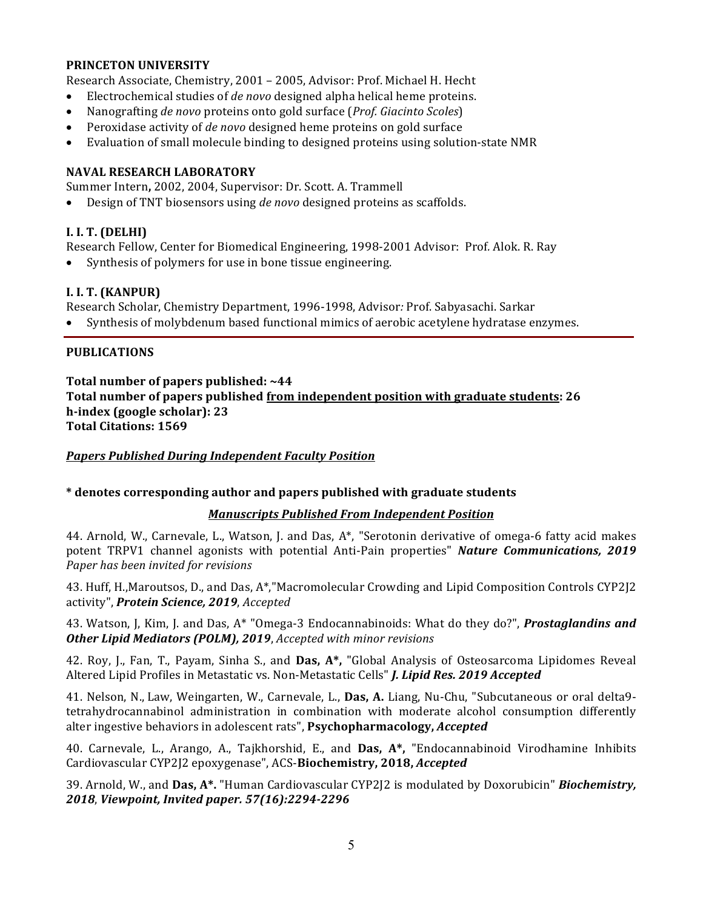#### **PRINCETON UNIVERSITY**

Research Associate, Chemistry, 2001 - 2005, Advisor: Prof. Michael H. Hecht

- Electrochemical studies of *de novo* designed alpha helical heme proteins.
- Nanografting *de novo* proteins onto gold surface (*Prof. Giacinto Scoles*)
- Peroxidase activity of *de novo* designed heme proteins on gold surface
- Evaluation of small molecule binding to designed proteins using solution-state NMR

#### **NAVAL RESEARCH LABORATORY**

Summer Intern, 2002, 2004, Supervisor: Dr. Scott. A. Trammell

• Design of TNT biosensors using *de novo* designed proteins as scaffolds.

### **I. I. T. (DELHI)**

Research Fellow, Center for Biomedical Engineering, 1998-2001 Advisor: Prof. Alok. R. Ray

• Synthesis of polymers for use in bone tissue engineering.

# **I. I. T. (KANPUR)**

Research Scholar, Chemistry Department, 1996-1998, Advisor*:* Prof. Sabyasachi. Sarkar

Synthesis of molybdenum based functional mimics of aerobic acetylene hydratase enzymes.

#### **PUBLICATIONS**

Total number of papers published: ~44 **Total number of papers published from independent position with graduate students: 26 h-index (google scholar): 23 Total Citations: 1569**

*Papers Published During Independent Faculty Position*

#### **\* denotes corresponding author and papers published with graduate students**

#### *Manuscripts Published From Independent Position*

44. Arnold, W., Carnevale, L., Watson, J. and Das,  $A^*$ , "Serotonin derivative of omega-6 fatty acid makes potent TRPV1 channel agonists with potential Anti-Pain properties" *Nature Communications, 2019 Paper has been invited for revisions*

43. Huff, H.,Maroutsos, D., and Das, A\*,"Macromolecular Crowding and Lipid Composition Controls CYP2J2 activity", **Protein Science, 2019**, *Accepted* 

43. Watson, J, Kim, J. and Das, A<sup>\*</sup> "Omega-3 Endocannabinoids: What do they do?", **Prostaglandins and Other Lipid Mediators (POLM), 2019**, *Accepted with minor revisions* 

42. Roy, J., Fan, T., Payam, Sinha S., and **Das, A\***, "Global Analysis of Osteosarcoma Lipidomes Reveal Altered Lipid Profiles in Metastatic vs. Non-Metastatic Cells" *J. Lipid Res. 2019 Accepted* 

41. Nelson, N., Law, Weingarten, W., Carnevale, L., Das, A. Liang, Nu-Chu, "Subcutaneous or oral delta9tetrahydrocannabinol administration in combination with moderate alcohol consumption differently alter ingestive behaviors in adolescent rats", Psychopharmacology, Accepted

40. Carnevale, L., Arango, A., Tajkhorshid, E., and **Das, A\***, "Endocannabinoid Virodhamine Inhibits Cardiovascular CYP2<sup>[2</sup> epoxygenase", ACS-**Biochemistry, 2018,** *Accepted* 

39. Arnold, W., and Das, A<sup>\*</sup>. "Human Cardiovascular CYP2[2 is modulated by Doxorubicin" *Biochemistry*, *2018*, *Viewpoint, Invited paper. 57(16):2294-2296*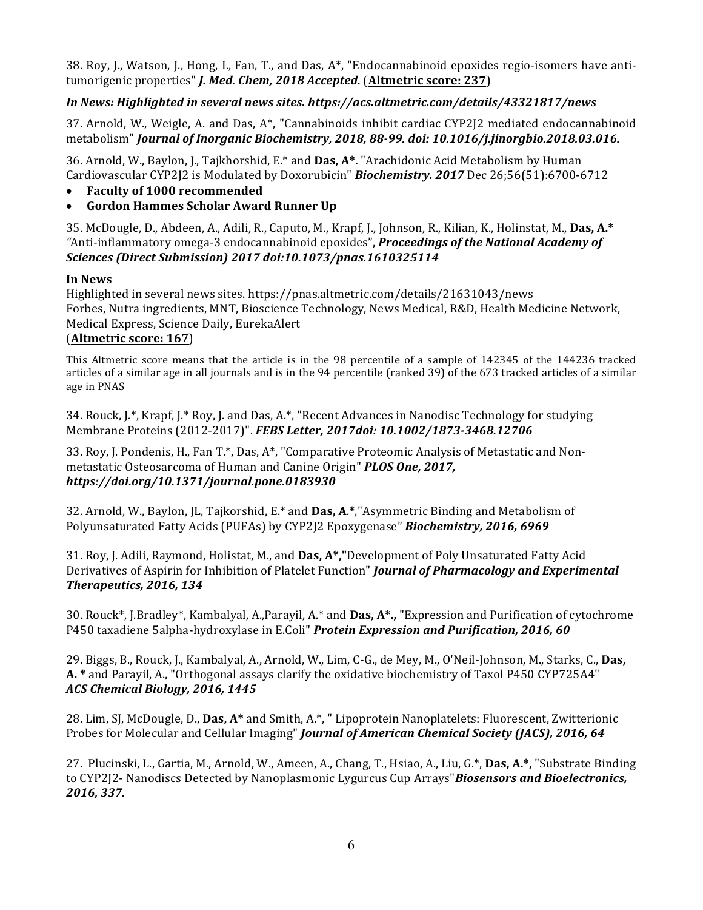38. Roy, J., Watson, J., Hong, I., Fan, T., and Das,  $A^*$ , "Endocannabinoid epoxides regio-isomers have antitumorigenic properties" *J. Med. Chem, 2018 Accepted.* (Altmetric score: 237)

# *In News: Highlighted in several news sites. https://acs.altmetric.com/details/43321817/news*

37. Arnold, W., Weigle, A. and Das, A\*, "Cannabinoids inhibit cardiac CYP2J2 mediated endocannabinoid metabolism" *Journal of Inorganic Biochemistry, 2018, 88-99. doi: 10.1016/j.jinorgbio.2018.03.016.* 

36. Arnold, W., Baylon, J., Tajkhorshid, E.\* and Das, A\*. "Arachidonic Acid Metabolism by Human Cardiovascular CYP2J2 is Modulated by Doxorubicin" *Biochemistry.* 2017 Dec 26;56(51):6700-6712

- **Faculty of 1000 recommended**
- **Gordon Hammes Scholar Award Runner Up**

35. McDougle, D., Abdeen, A., Adili, R., Caputo, M., Krapf, J., Johnson, R., Kilian, K., Holinstat, M., Das, A.\* "Anti-inflammatory omega-3 endocannabinoid epoxides", *Proceedings of the National Academy of Sciences (Direct Submission) 2017 doi:10.1073/pnas.1610325114*

#### **In News**

Highlighted in several news sites. https://pnas.altmetric.com/details/21631043/news Forbes, Nutra ingredients, MNT, Bioscience Technology, News Medical, R&D, Health Medicine Network, Medical Express, Science Daily, EurekaAlert

#### (**Altmetric score: 167**)

This Altmetric score means that the article is in the 98 percentile of a sample of 142345 of the 144236 tracked articles of a similar age in all journals and is in the 94 percentile (ranked 39) of the 673 tracked articles of a similar age in PNAS

34. Rouck, J.\*, Krapf, J.\* Roy, J. and Das, A.\*, "Recent Advances in Nanodisc Technology for studying Membrane Proteins (2012-2017)". *FEBS Letter, 2017doi: 10.1002/1873-3468.12706* 

33. Roy, J. Pondenis, H., Fan T.\*, Das, A\*, "Comparative Proteomic Analysis of Metastatic and Nonmetastatic Osteosarcoma of Human and Canine Origin" *PLOS One, 2017, https://doi.org/10.1371/journal.pone.0183930*

32. Arnold, W., Baylon, JL, Tajkorshid, E.\* and Das, A.\*,"Asymmetric Binding and Metabolism of Polyunsaturated Fatty Acids (PUFAs) by CYP2J2 Epoxygenase" **Biochemistry, 2016, 6969** 

31. Roy, J. Adili, Raymond, Holistat, M., and Das, A\*,"Development of Poly Unsaturated Fatty Acid Derivatives of Aspirin for Inhibition of Platelet Function" *Journal of Pharmacology and Experimental Therapeutics, 2016, 134*

30. Rouck<sup>\*</sup>, J.Bradley<sup>\*</sup>, Kambalyal, A.,Parayil, A.<sup>\*</sup> and **Das, A<sup>\*</sup>.,** "Expression and Purification of cytochrome P450 taxadiene 5alpha-hydroxylase in E.Coli" *Protein Expression and Purification, 2016, 60* 

29. Biggs, B., Rouck, J., Kambalyal, A., Arnold, W., Lim, C-G., de Mey, M., O'Neil-Johnson, M., Starks, C., Das, A. \* and Parayil, A., "Orthogonal assays clarify the oxidative biochemistry of Taxol P450 CYP725A4" *ACS Chemical Biology, 2016, 1445*

28. Lim, SJ, McDougle, D., Das, A<sup>\*</sup> and Smith, A.<sup>\*</sup>, " Lipoprotein Nanoplatelets: Fluorescent, Zwitterionic Probes for Molecular and Cellular Imaging" *Journal of American Chemical Society (JACS), 2016, 64* 

27. Plucinski, L., Gartia, M., Arnold, W., Ameen, A., Chang, T., Hsiao, A., Liu, G.\*, **Das, A.\*,** "Substrate Binding to CYP2J2- Nanodiscs Detected by Nanoplasmonic Lygurcus Cup Arrays"**Biosensors and Bioelectronics**, *2016, 337.*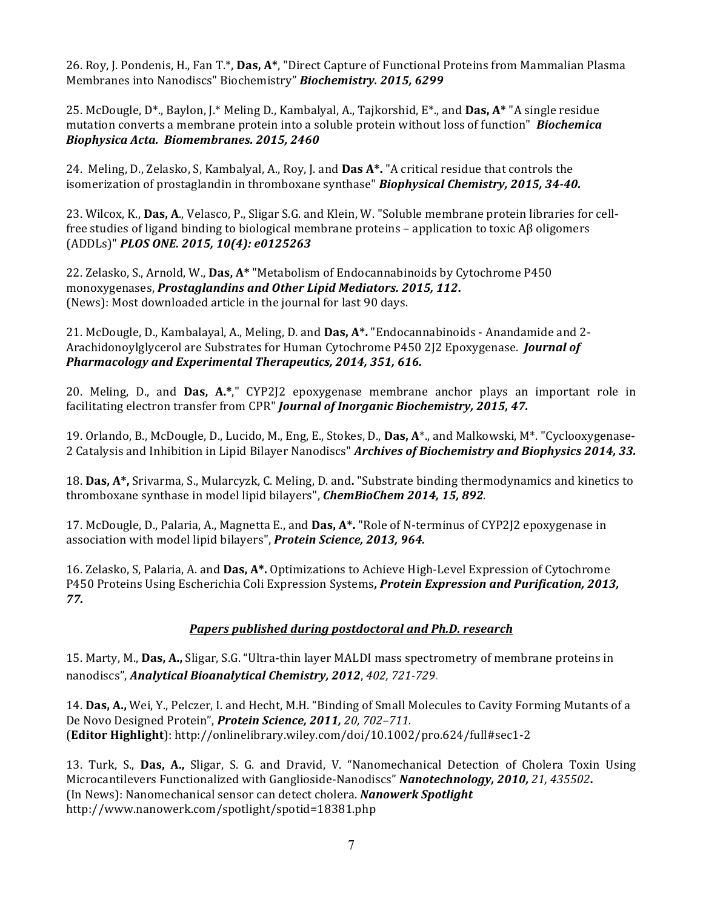26. Roy, J. Pondenis, H., Fan T.\*, Das, A\*, "Direct Capture of Functional Proteins from Mammalian Plasma Membranes into Nanodiscs" Biochemistry" *Biochemistry.* 2015, 6299

25. McDougle, D<sup>\*</sup>., Baylon, J.\* Meling D., Kambalyal, A., Tajkorshid, E<sup>\*</sup>., and **Das, A\*** "A single residue mutation converts a membrane protein into a soluble protein without loss of function" **Biochemica** *Biophysica Acta. Biomembranes. 2015, 2460*

24. Meling, D., Zelasko, S. Kambalyal, A., Roy, J. and **Das A\*.** "A critical residue that controls the isomerization of prostaglandin in thromboxane synthase" *Biophysical Chemistry, 2015, 34-40.* 

23. Wilcox, K., **Das, A.**, Velasco, P., Sligar S.G. and Klein, W. "Soluble membrane protein libraries for cellfree studies of ligand binding to biological membrane proteins – application to toxic  $\overrightarrow{AB}$  oligomers (ADDLs)" *PLOS ONE. 2015, 10(4): e0125263*

22. Zelasko, S., Arnold, W., Das, A\* "Metabolism of Endocannabinoids by Cytochrome P450 monoxygenases, *Prostaglandins and Other Lipid Mediators.* 2015, 112. (News): Most downloaded article in the journal for last 90 days.

21. McDougle, D., Kambalayal, A., Meling, D. and **Das, A<sup>\*</sup>.** "Endocannabinoids - Anandamide and 2-Arachidonoylglycerol are Substrates for Human Cytochrome P450 2J2 Epoxygenase. Journal of *Pharmacology and Experimental Therapeutics, 2014, 351, 616.* 

20. Meling, D., and Das, A.\*," CYP2J2 epoxygenase membrane anchor plays an important role in facilitating electron transfer from CPR" *Journal of Inorganic Biochemistry, 2015, 47.* 

19. Orlando, B., McDougle, D., Lucido, M., Eng, E., Stokes, D., **Das, A**\*., and Malkowski, M\*. "Cyclooxygenase-2 Catalysis and Inhibition in Lipid Bilayer Nanodiscs" *Archives of Biochemistry and Biophysics 2014, 33.* 

18. Das, A<sup>\*</sup>, Srivarma, S., Mularcyzk, C. Meling, D. and. "Substrate binding thermodynamics and kinetics to thromboxane synthase in model lipid bilayers", *ChemBioChem 2014, 15, 892.* 

17. McDougle, D., Palaria, A., Magnetta E., and Das, A\*. "Role of N-terminus of CYP2J2 epoxygenase in association with model lipid bilayers", **Protein Science, 2013, 964.** 

16. Zelasko, S, Palaria, A. and **Das, A\*.** Optimizations to Achieve High-Level Expression of Cytochrome P450 Proteins Using Escherichia Coli Expression Systems, *Protein Expression and Purification, 2013, 77.*

# *Papers published during postdoctoral and Ph.D. research*

15. Marty, M., **Das, A.,** Sligar, S.G. "Ultra-thin layer MALDI mass spectrometry of membrane proteins in nanodiscs", **Analytical Bioanalytical Chemistry, 2012**, 402, 721-729.

14. **Das, A.,** Wei, Y., Pelczer, I. and Hecht, M.H. "Binding of Small Molecules to Cavity Forming Mutants of a De Novo Designed Protein", Protein Science, 2011, 20, 702-711. (**Editor Highlight**): http://onlinelibrary.wiley.com/doi/10.1002/pro.624/full#sec1-2

13. Turk, S., Das, A., Sligar, S. G. and Dravid, V. "Nanomechanical Detection of Cholera Toxin Using Microcantilevers Functionalized with Ganglioside-Nanodiscs" *Nanotechnology, 2010, 21, 435502***.** (In News): Nanomechanical sensor can detect cholera. *Nanowerk Spotlight* http://www.nanowerk.com/spotlight/spotid=18381.php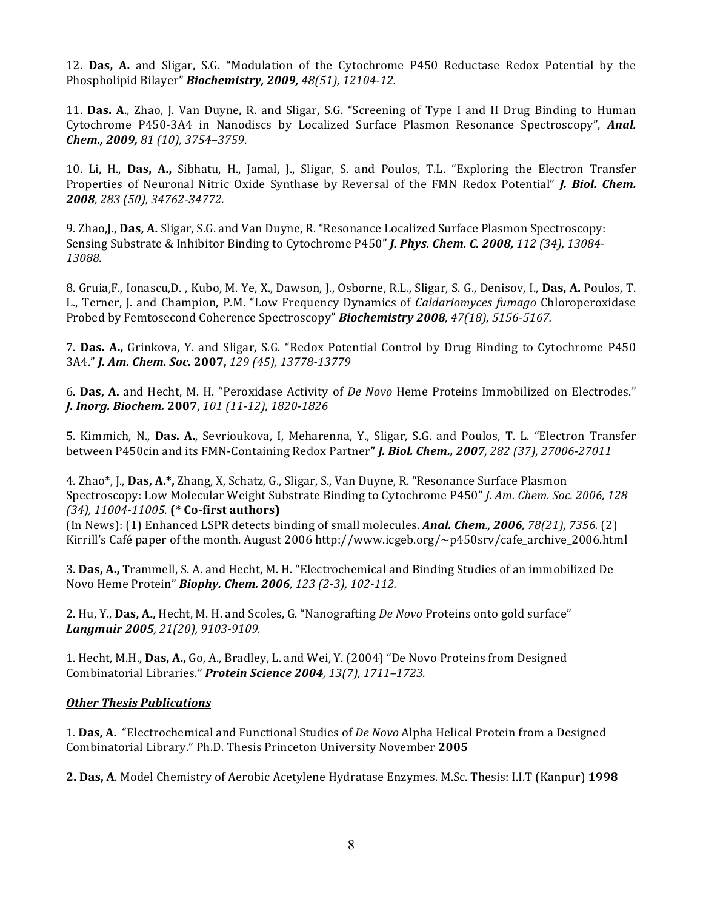12. **Das, A.** and Sligar, S.G. "Modulation of the Cytochrome P450 Reductase Redox Potential by the Phospholipid Bilayer" *Biochemistry, 2009, 48(51), 12104-12.*

11. Das. A., Zhao, J. Van Duyne, R. and Sligar, S.G. "Screening of Type I and II Drug Binding to Human Cytochrome P450-3A4 in Nanodiscs by Localized Surface Plasmon Resonance Spectroscopy", *Anal. Chem., 2009, 81 (10), 3754–3759*.

10. Li, H., Das, A., Sibhatu, H., Jamal, J., Sligar, S. and Poulos, T.L. "Exploring the Electron Transfer Properties of Neuronal Nitric Oxide Synthase by Reversal of the FMN Redox Potential" *J. Biol. Chem. 2008, 283 (50), 34762-34772.*

9. Zhao,J., **Das, A.** Sligar, S.G. and Van Duyne, R. "Resonance Localized Surface Plasmon Spectroscopy: Sensing Substrate & Inhibitor Binding to Cytochrome P450" *J. Phys. Chem. C. 2008, 112* (34), 13084-*13088.*

8. Gruia,F., Ionascu,D., Kubo, M. Ye, X., Dawson, J., Osborne, R.L., Sligar, S. G., Denisov, I., **Das, A.** Poulos, T. L., Terner, J. and Champion, P.M. "Low Frequency Dynamics of *Caldariomyces fumago* Chloroperoxidase Probed by Femtosecond Coherence Spectroscopy" *Biochemistry 2008, 47(18), 5156-5167.*

7. Das. A., Grinkova, Y. and Sligar, S.G. "Redox Potential Control by Drug Binding to Cytochrome P450 3A4." *J. Am. Chem. Soc.* **2007,** *129 (45), 13778-13779*

6. Das, A. and Hecht, M. H. "Peroxidase Activity of *De Novo* Heme Proteins Immobilized on Electrodes." *J. Inorg. Biochem.* **2007**, *101 (11-12), 1820-1826* 

5. Kimmich, N., Das. A., Sevrioukova, I, Meharenna, Y., Sligar, S.G. and Poulos, T. L. "Electron Transfer between P450cin and its FMN-Containing Redox Partner**"** *J. Biol. Chem., 2007, 282 (37), 27006-27011*

4. Zhao\*, J., Das, A.\*, Zhang, X, Schatz, G., Sligar, S., Van Duyne, R. "Resonance Surface Plasmon Spectroscopy: Low Molecular Weight Substrate Binding to Cytochrome P450" *J. Am. Chem. Soc. 2006, 128 (34), 11004-11005.* **(\* Co-first authors)**

(In News): (1) Enhanced LSPR detects binding of small molecules. *Anal. Chem., 2006, 78(21), 7356.* (2) Kirrill's Café paper of the month. August 2006 http://www.icgeb.org/~p450srv/cafe\_archive\_2006.html

3. **Das, A.,** Trammell, S. A. and Hecht, M. H. "Electrochemical and Binding Studies of an immobilized De Novo Heme Protein" *Biophy. Chem. 2006, 123 (2-3), 102-112.*

2. Hu, Y., Das, A., Hecht, M. H. and Scoles, G. "Nanografting *De Novo* Proteins onto gold surface" *Langmuir* 2005, 21(20), 9103-9109.

1. Hecht, M.H., **Das, A.,** Go, A., Bradley, L. and Wei, Y. (2004) "De Novo Proteins from Designed Combinatorial Libraries." *Protein Science 2004, 13(7), 1711–1723.*

# **Other Thesis Publications**

1. Das, A. "Electrochemical and Functional Studies of *De Novo* Alpha Helical Protein from a Designed Combinatorial Library." Ph.D. Thesis Princeton University November **2005**

**2. Das, A**. Model Chemistry of Aerobic Acetylene Hydratase Enzymes. M.Sc. Thesis: I.I.T (Kanpur) **1998**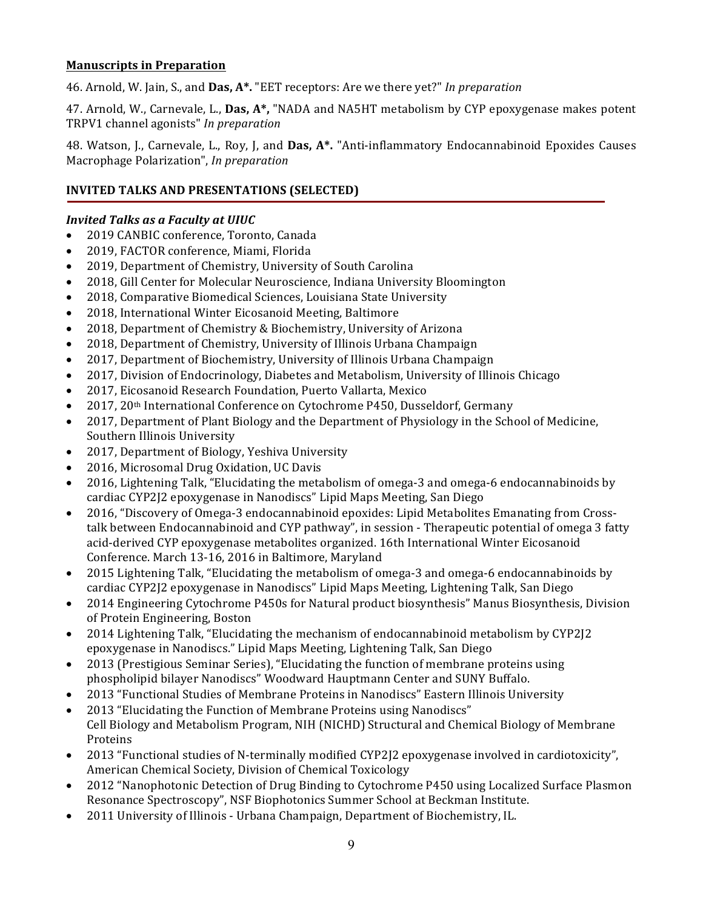#### **Manuscripts in Preparation**

46. Arnold, W. Jain, S., and **Das, A\*.** "EET receptors: Are we there yet?" *In preparation* 

47. Arnold, W., Carnevale, L., **Das, A\***, "NADA and NA5HT metabolism by CYP epoxygenase makes potent TRPV1 channel agonists" *In preparation*

48. Watson, J., Carnevale, L., Roy, J. and Das, A\*. "Anti-inflammatory Endocannabinoid Epoxides Causes Macrophage Polarization", *In preparation*

# **INVITED TALKS AND PRESENTATIONS (SELECTED)**

#### *Invited Talks as a Faculty at UIUC*

- 2019 CANBIC conference, Toronto, Canada
- 2019, FACTOR conference, Miami, Florida
- 2019, Department of Chemistry, University of South Carolina
- 2018, Gill Center for Molecular Neuroscience, Indiana University Bloomington
- 2018, Comparative Biomedical Sciences, Louisiana State University
- 2018, International Winter Eicosanoid Meeting, Baltimore
- 2018, Department of Chemistry & Biochemistry, University of Arizona
- 2018, Department of Chemistry, University of Illinois Urbana Champaign
- 2017, Department of Biochemistry, University of Illinois Urbana Champaign
- 2017, Division of Endocrinology, Diabetes and Metabolism, University of Illinois Chicago
- 2017, Eicosanoid Research Foundation, Puerto Vallarta, Mexico
- 2017, 20<sup>th</sup> International Conference on Cytochrome P450, Dusseldorf, Germany
- 2017, Department of Plant Biology and the Department of Physiology in the School of Medicine, Southern Illinois University
- 2017, Department of Biology, Yeshiva University
- 2016, Microsomal Drug Oxidation, UC Davis
- 2016. Lightening Talk, "Elucidating the metabolism of omega-3 and omega-6 endocannabinoids by cardiac CYP2J2 epoxygenase in Nanodiscs" Lipid Maps Meeting, San Diego
- 2016, "Discovery of Omega-3 endocannabinoid epoxides: Lipid Metabolites Emanating from Crosstalk between Endocannabinoid and CYP pathway", in session - Therapeutic potential of omega 3 fatty acid-derived CYP epoxygenase metabolites organized. 16th International Winter Eicosanoid Conference. March 13-16, 2016 in Baltimore, Maryland
- 2015 Lightening Talk, "Elucidating the metabolism of omega-3 and omega-6 endocannabinoids by cardiac CYP2J2 epoxygenase in Nanodiscs" Lipid Maps Meeting, Lightening Talk, San Diego
- 2014 Engineering Cytochrome P450s for Natural product biosynthesis" Manus Biosynthesis, Division of Protein Engineering, Boston
- 2014 Lightening Talk, "Elucidating the mechanism of endocannabinoid metabolism by CYP2I2 epoxygenase in Nanodiscs." Lipid Maps Meeting, Lightening Talk, San Diego
- 2013 (Prestigious Seminar Series), "Elucidating the function of membrane proteins using phospholipid bilayer Nanodiscs" Woodward Hauptmann Center and SUNY Buffalo.
- 2013 "Functional Studies of Membrane Proteins in Nanodiscs" Eastern Illinois University
- 2013 "Elucidating the Function of Membrane Proteins using Nanodiscs" Cell Biology and Metabolism Program, NIH (NICHD) Structural and Chemical Biology of Membrane Proteins
- 2013 "Functional studies of N-terminally modified CYP2[2 epoxygenase involved in cardiotoxicity", American Chemical Society, Division of Chemical Toxicology
- 2012 "Nanophotonic Detection of Drug Binding to Cytochrome P450 using Localized Surface Plasmon Resonance Spectroscopy", NSF Biophotonics Summer School at Beckman Institute.
- 2011 University of Illinois Urbana Champaign, Department of Biochemistry, IL.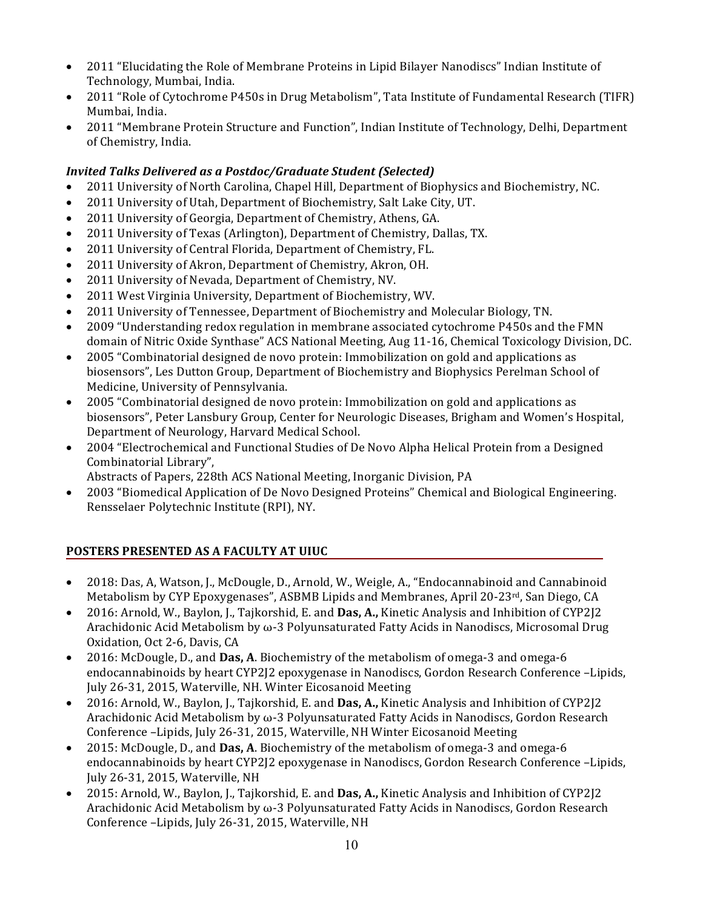- 2011 "Elucidating the Role of Membrane Proteins in Lipid Bilayer Nanodiscs" Indian Institute of Technology, Mumbai, India.
- 2011 "Role of Cytochrome P450s in Drug Metabolism", Tata Institute of Fundamental Research (TIFR) Mumbai, India.
- 2011 "Membrane Protein Structure and Function", Indian Institute of Technology, Delhi, Department of Chemistry, India.

# *Invited Talks Delivered as a Postdoc/Graduate Student (Selected)*

- 2011 University of North Carolina, Chapel Hill, Department of Biophysics and Biochemistry, NC.
- 2011 University of Utah, Department of Biochemistry, Salt Lake City, UT.
- 2011 University of Georgia, Department of Chemistry, Athens, GA.
- 2011 University of Texas (Arlington), Department of Chemistry, Dallas, TX.
- 2011 University of Central Florida, Department of Chemistry, FL.
- 2011 University of Akron, Department of Chemistry, Akron, OH.
- 2011 University of Nevada, Department of Chemistry, NV.
- 2011 West Virginia University, Department of Biochemistry, WV.
- 2011 University of Tennessee, Department of Biochemistry and Molecular Biology, TN.
- 2009 "Understanding redox regulation in membrane associated cytochrome P450s and the FMN domain of Nitric Oxide Synthase" ACS National Meeting, Aug 11-16, Chemical Toxicology Division, DC.
- 2005 "Combinatorial designed de novo protein: Immobilization on gold and applications as biosensors", Les Dutton Group, Department of Biochemistry and Biophysics Perelman School of Medicine, University of Pennsylvania.
- 2005 "Combinatorial designed de novo protein: Immobilization on gold and applications as biosensors", Peter Lansbury Group, Center for Neurologic Diseases, Brigham and Women's Hospital, Department of Neurology, Harvard Medical School.
- 2004 "Electrochemical and Functional Studies of De Novo Alpha Helical Protein from a Designed Combinatorial Library",
	- Abstracts of Papers, 228th ACS National Meeting, Inorganic Division, PA
- 2003 "Biomedical Application of De Novo Designed Proteins" Chemical and Biological Engineering. Rensselaer Polytechnic Institute (RPI), NY.

# **POSTERS PRESENTED AS A FACULTY AT UIUC**

- 2018: Das, A, Watson, J., McDougle, D., Arnold, W., Weigle, A., "Endocannabinoid and Cannabinoid Metabolism by CYP Epoxygenases", ASBMB Lipids and Membranes, April 20-23 $rd$ , San Diego, CA
- 2016: Arnold, W., Baylon, J., Tajkorshid, E. and **Das, A.**, Kinetic Analysis and Inhibition of CYP2<sup>[2]</sup> Arachidonic Acid Metabolism by  $\omega$ -3 Polyunsaturated Fatty Acids in Nanodiscs, Microsomal Drug Oxidation, Oct 2-6, Davis, CA
- 2016: McDougle, D., and **Das, A**. Biochemistry of the metabolism of omega-3 and omega-6 endocannabinoids by heart CYP2J2 epoxygenase in Nanodiscs, Gordon Research Conference -Lipids, July 26-31, 2015, Waterville, NH. Winter Eicosanoid Meeting
- 2016: Arnold, W., Baylon, J., Tajkorshid, E. and **Das, A.,** Kinetic Analysis and Inhibition of CYP2]2 Arachidonic Acid Metabolism by  $\omega$ -3 Polyunsaturated Fatty Acids in Nanodiscs, Gordon Research Conference -Lipids, July 26-31, 2015, Waterville, NH Winter Eicosanoid Meeting
- 2015: McDougle, D., and **Das, A**. Biochemistry of the metabolism of omega-3 and omega-6 endocannabinoids by heart CYP2J2 epoxygenase in Nanodiscs, Gordon Research Conference -Lipids, July 26-31, 2015, Waterville, NH
- 2015: Arnold, W., Baylon, J., Tajkorshid, E. and **Das, A.**, Kinetic Analysis and Inhibition of CYP2]2 Arachidonic Acid Metabolism by  $\omega$ -3 Polyunsaturated Fatty Acids in Nanodiscs, Gordon Research Conference -Lipids, July 26-31, 2015, Waterville, NH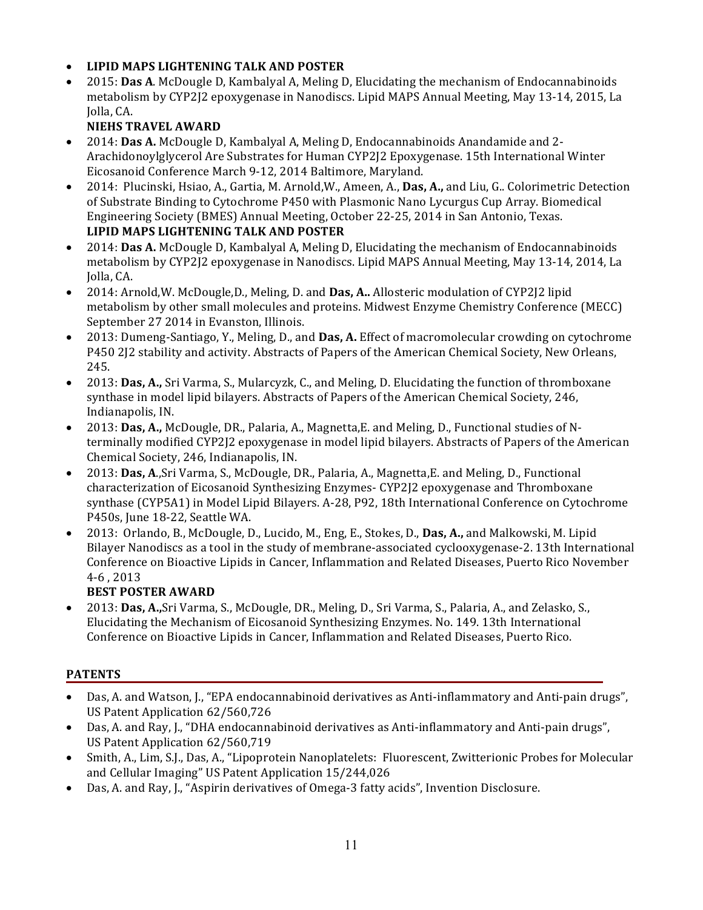# • **LIPID MAPS LIGHTENING TALK AND POSTER**

2015: **Das A.** McDougle D, Kambalyal A, Meling D, Elucidating the mechanism of Endocannabinoids metabolism by CYP2J2 epoxygenase in Nanodiscs. Lipid MAPS Annual Meeting, May 13-14, 2015, La Iolla, CA.

# **NIEHS TRAVEL AWARD**

- 2014: **Das A.** McDougle D, Kambalyal A, Meling D, Endocannabinoids Anandamide and 2-Arachidonoylglycerol Are Substrates for Human CYP2J2 Epoxygenase. 15th International Winter Eicosanoid Conference March 9-12, 2014 Baltimore, Maryland.
- 2014: Plucinski, Hsiao, A., Gartia, M. Arnold,W., Ameen, A., Das, A., and Liu, G.. Colorimetric Detection of Substrate Binding to Cytochrome P450 with Plasmonic Nano Lycurgus Cup Array. Biomedical Engineering Society (BMES) Annual Meeting, October 22-25, 2014 in San Antonio, Texas. **LIPID MAPS LIGHTENING TALK AND POSTER**
- 2014: **Das A.** McDougle D, Kambalyal A, Meling D, Elucidating the mechanism of Endocannabinoids metabolism by CYP2J2 epoxygenase in Nanodiscs. Lipid MAPS Annual Meeting, May 13-14, 2014, La Jolla, CA.
- 2014: Arnold, W. McDougle, D., Meling, D. and **Das, A..** Allosteric modulation of CYP2<sup>[2]</sup> lipid metabolism by other small molecules and proteins. Midwest Enzyme Chemistry Conference (MECC) September 27 2014 in Evanston, Illinois.
- 2013: Dumeng-Santiago, Y., Meling, D., and **Das, A.** Effect of macromolecular crowding on cytochrome P450 212 stability and activity. Abstracts of Papers of the American Chemical Society, New Orleans, 245.
- 2013: Das, A., Sri Varma, S., Mularcyzk, C., and Meling, D. Elucidating the function of thromboxane synthase in model lipid bilayers. Abstracts of Papers of the American Chemical Society, 246, Indianapolis, IN.
- 2013: Das, A., McDougle, DR., Palaria, A., Magnetta, E. and Meling, D., Functional studies of Nterminally modified CYP2]2 epoxygenase in model lipid bilayers. Abstracts of Papers of the American Chemical Society, 246, Indianapolis, IN.
- 2013: Das, A.,Sri Varma, S., McDougle, DR., Palaria, A., Magnetta, E. and Meling, D., Functional characterization of Eicosanoid Synthesizing Enzymes- CYP2J2 epoxygenase and Thromboxane synthase (CYP5A1) in Model Lipid Bilayers. A-28, P92, 18th International Conference on Cytochrome P450s, June 18-22, Seattle WA.
- 2013: Orlando, B., McDougle, D., Lucido, M., Eng, E., Stokes, D., **Das, A.**, and Malkowski, M. Lipid Bilayer Nanodiscs as a tool in the study of membrane-associated cyclooxygenase-2. 13th International Conference on Bioactive Lipids in Cancer, Inflammation and Related Diseases, Puerto Rico November 4-6 , 2013

# **BEST POSTER AWARD**

• 2013: Das, A.,Sri Varma, S., McDougle, DR., Meling, D., Sri Varma, S., Palaria, A., and Zelasko, S., Elucidating the Mechanism of Eicosanoid Synthesizing Enzymes. No. 149. 13th International Conference on Bioactive Lipids in Cancer, Inflammation and Related Diseases, Puerto Rico.

# **PATENTS**

- Das, A. and Watson, J., "EPA endocannabinoid derivatives as Anti-inflammatory and Anti-pain drugs", US Patent Application 62/560,726
- Das, A. and Ray, J., "DHA endocannabinoid derivatives as Anti-inflammatory and Anti-pain drugs", US Patent Application 62/560,719
- Smith, A., Lim, S.J., Das, A., "Lipoprotein Nanoplatelets: Fluorescent, Zwitterionic Probes for Molecular and Cellular Imaging" US Patent Application 15/244,026
- Das, A. and Ray, J., "Aspirin derivatives of Omega-3 fatty acids", Invention Disclosure.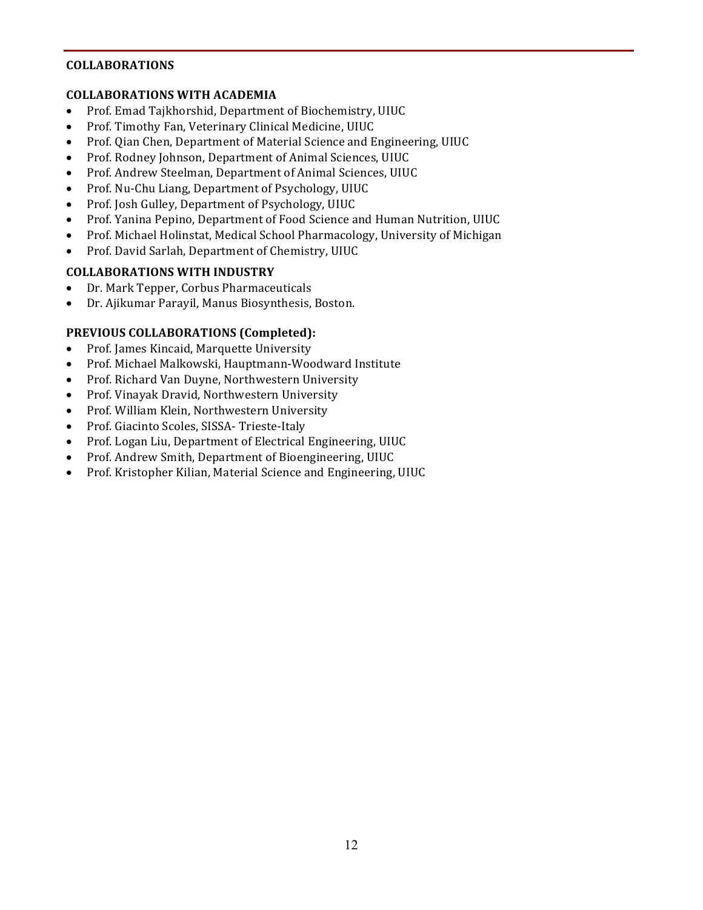#### **COLLABORATIONS**

#### **COLLABORATIONS WITH ACADEMIA**

- Prof. Emad Tajkhorshid, Department of Biochemistry, UIUC
- Prof. Timothy Fan, Veterinary Clinical Medicine, UIUC
- Prof. Qian Chen, Department of Material Science and Engineering, UIUC
- Prof. Rodney Johnson, Department of Animal Sciences, UIUC
- Prof. Andrew Steelman, Department of Animal Sciences, UIUC
- Prof. Nu-Chu Liang, Department of Psychology, UIUC
- Prof. Josh Gulley, Department of Psychology, UIUC
- Prof. Yanina Pepino, Department of Food Science and Human Nutrition, UIUC
- Prof. Michael Holinstat, Medical School Pharmacology, University of Michigan
- Prof. David Sarlah, Department of Chemistry, UIUC

# **COLLABORATIONS WITH INDUSTRY**

- Dr. Mark Tepper, Corbus Pharmaceuticals
- Dr. Ajikumar Parayil, Manus Biosynthesis, Boston.

# **PREVIOUS COLLABORATIONS (Completed):**

- Prof. James Kincaid, Marquette University
- Prof. Michael Malkowski, Hauptmann-Woodward Institute
- Prof. Richard Van Duyne, Northwestern University
- Prof. Vinayak Dravid, Northwestern University
- Prof. William Klein, Northwestern University
- Prof. Giacinto Scoles, SISSA- Trieste-Italy
- Prof. Logan Liu, Department of Electrical Engineering, UIUC
- Prof. Andrew Smith, Department of Bioengineering, UIUC
- Prof. Kristopher Kilian, Material Science and Engineering, UIUC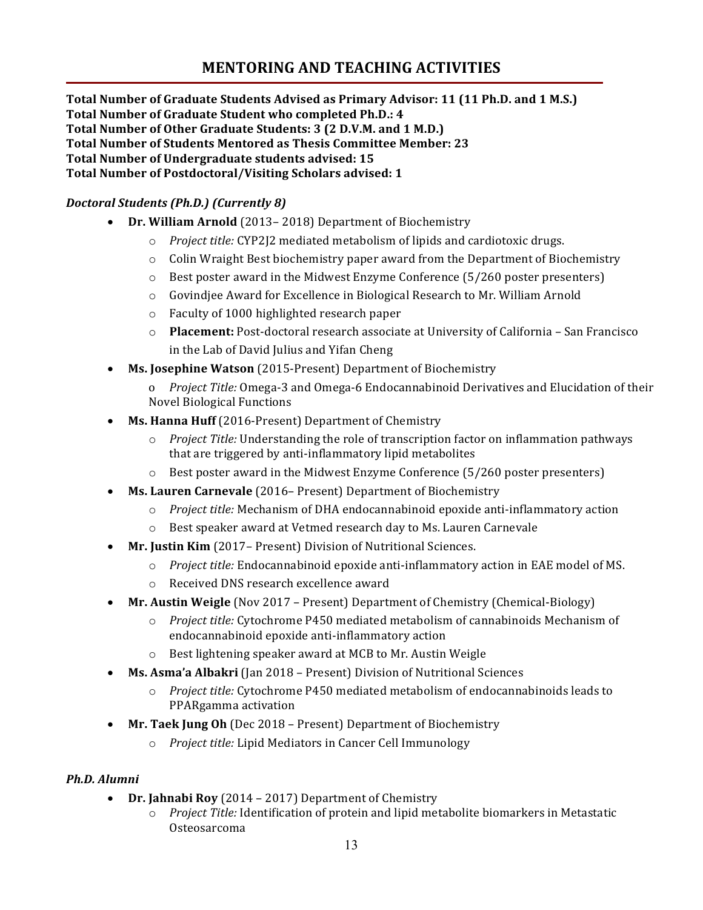# **MENTORING AND TEACHING ACTIVITIES**

**Total Number of Graduate Students Advised as Primary Advisor: 11 (11 Ph.D. and 1 M.S.)** Total Number of Graduate Student who completed Ph.D.: 4 **Total Number of Other Graduate Students: 3 (2 D.V.M. and 1 M.D.) Total Number of Students Mentored as Thesis Committee Member: 23 Total Number of Undergraduate students advised: 15** Total Number of Postdoctoral/Visiting Scholars advised: 1

# *Doctoral Students (Ph.D.) (Currently 8)*

- Dr. William Arnold (2013–2018) Department of Biochemistry
	- o *Project title:* CYP2J2 mediated metabolism of lipids and cardiotoxic drugs.
	- o Colin Wraight Best biochemistry paper award from the Department of Biochemistry
	- $\circ$  Best poster award in the Midwest Enzyme Conference (5/260 poster presenters)
	- $\circ$  Govindjee Award for Excellence in Biological Research to Mr. William Arnold
	- o Faculty of 1000 highlighted research paper
	- o **Placement:** Post-doctoral research associate at University of California San Francisco in the Lab of David Julius and Yifan Cheng
- Ms. Josephine Watson (2015-Present) Department of Biochemistry
	- o *Project Title:* Omega-3 and Omega-6 Endocannabinoid Derivatives and Elucidation of their Novel Biological Functions
- **Ms. Hanna Huff** (2016-Present) Department of Chemistry
	- $\circ$  *Project Title:* Understanding the role of transcription factor on inflammation pathways that are triggered by anti-inflammatory lipid metabolites
	- $\circ$  Best poster award in the Midwest Enzyme Conference (5/260 poster presenters)
- Ms. Lauren Carnevale (2016– Present) Department of Biochemistry
	- $\circ$  *Project title:* Mechanism of DHA endocannabinoid epoxide anti-inflammatory action
	- $\circ$  Best speaker award at Vetmed research day to Ms. Lauren Carnevale
- **Mr. Justin Kim** (2017– Present) Division of Nutritional Sciences.
	- $\circ$  *Project title:* Endocannabinoid epoxide anti-inflammatory action in EAE model of MS.
	- $\circ$  Received DNS research excellence award
- Mr. Austin Weigle (Nov 2017 Present) Department of Chemistry (Chemical-Biology)
	- $\circ$  *Project title:* Cytochrome P450 mediated metabolism of cannabinoids Mechanism of endocannabinoid epoxide anti-inflammatory action
	- $\circ$  Best lightening speaker award at MCB to Mr. Austin Weigle
- Ms. Asma'a Albakri (Jan 2018 Present) Division of Nutritional Sciences
	- $\circ$  *Project title:* Cytochrome P450 mediated metabolism of endocannabinoids leads to PPARgamma activation
- Mr. Taek Jung Oh (Dec 2018 Present) Department of Biochemistry
	- o *Project title:* Lipid Mediators in Cancer Cell Immunology

# *Ph.D. Alumni*

- **Dr. Jahnabi Roy** (2014 2017) Department of Chemistry
	- o *Project Title:* Identification of protein and lipid metabolite biomarkers in Metastatic Osteosarcoma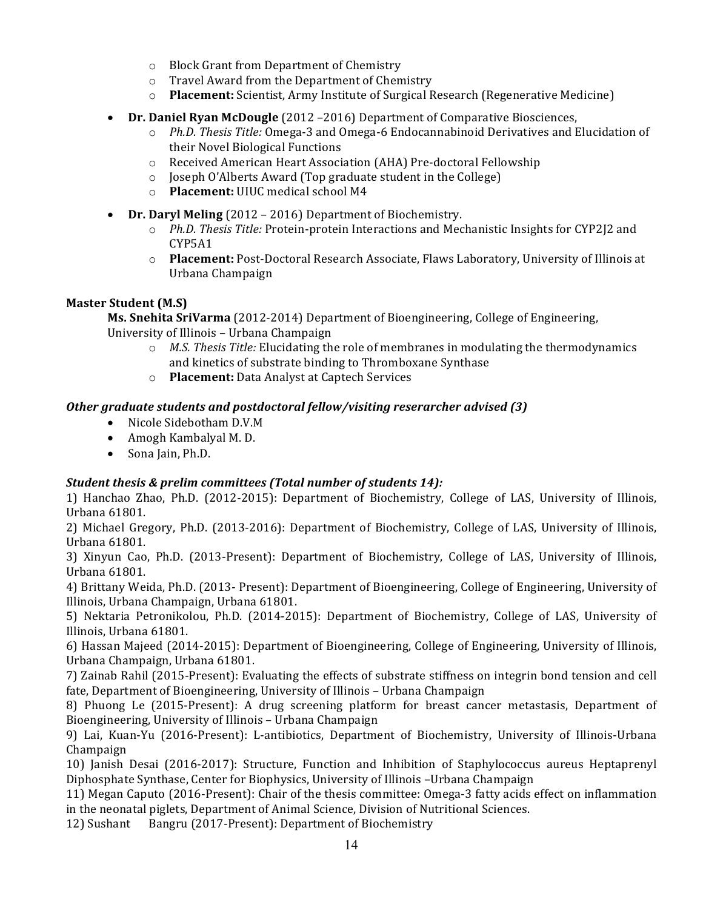- o Block Grant from Department of Chemistry
- $\circ$  Travel Award from the Department of Chemistry
- o **Placement:** Scientist, Army Institute of Surgical Research (Regenerative Medicine)
- **Dr. Daniel Ryan McDougle** (2012 2016) Department of Comparative Biosciences,
	- o *Ph.D. Thesis Title:* Omega-3 and Omega-6 Endocannabinoid Derivatives and Elucidation of their Novel Biological Functions
	- o Received American Heart Association (AHA) Pre-doctoral Fellowship
	- o Joseph O'Alberts Award (Top graduate student in the College)
	- o **Placement:** UIUC medical school M4
- **Dr. Daryl Meling** (2012 2016) Department of Biochemistry.
	- o *Ph.D. Thesis Title:* Protein-protein Interactions and Mechanistic Insights for CYP2J2 and CYP5A1
	- o **Placement:** Post-Doctoral Research Associate, Flaws Laboratory, University of Illinois at Urbana Champaign

# **Master Student (M.S)**

**Ms. Snehita SriVarma** (2012-2014) Department of Bioengineering, College of Engineering, University of Illinois - Urbana Champaign

- $\circ$  *M.S. Thesis Title:* Elucidating the role of membranes in modulating the thermodynamics and kinetics of substrate binding to Thromboxane Synthase
- o **Placement:** Data Analyst at Captech Services

# **Other graduate students and postdoctoral fellow/visiting reserarcher advised (3)**

- Nicole Sidebotham D.V.M
- Amogh Kambalyal M. D.
- Sona Jain, Ph.D.

# *Student thesis & prelim committees (Total number of students 14):*

1) Hanchao Zhao, Ph.D. (2012-2015): Department of Biochemistry, College of LAS, University of Illinois, Urbana 61801. 

2) Michael Gregory, Ph.D. (2013-2016): Department of Biochemistry, College of LAS, University of Illinois, Urbana 61801. 

3) Xinyun Cao, Ph.D. (2013-Present): Department of Biochemistry, College of LAS, University of Illinois, Urbana 61801. 

4) Brittany Weida, Ph.D. (2013- Present): Department of Bioengineering, College of Engineering, University of Illinois, Urbana Champaign, Urbana 61801.

5) Nektaria Petronikolou, Ph.D. (2014-2015): Department of Biochemistry, College of LAS, University of Illinois, Urbana 61801.

6) Hassan Majeed (2014-2015): Department of Bioengineering, College of Engineering, University of Illinois, Urbana Champaign, Urbana 61801.

7) Zainab Rahil (2015-Present): Evaluating the effects of substrate stiffness on integrin bond tension and cell fate, Department of Bioengineering, University of Illinois - Urbana Champaign

8) Phuong Le (2015-Present): A drug screening platform for breast cancer metastasis, Department of Bioengineering, University of Illinois - Urbana Champaign

9) Lai, Kuan-Yu (2016-Present): L-antibiotics, Department of Biochemistry, University of Illinois-Urbana Champaign

10) Janish Desai (2016-2017): Structure, Function and Inhibition of Staphylococcus aureus Heptaprenyl Diphosphate Synthase, Center for Biophysics, University of Illinois -Urbana Champaign

11) Megan Caputo (2016-Present): Chair of the thesis committee: Omega-3 fatty acids effect on inflammation in the neonatal piglets, Department of Animal Science, Division of Nutritional Sciences.

12) Sushant Bangru (2017-Present): Department of Biochemistry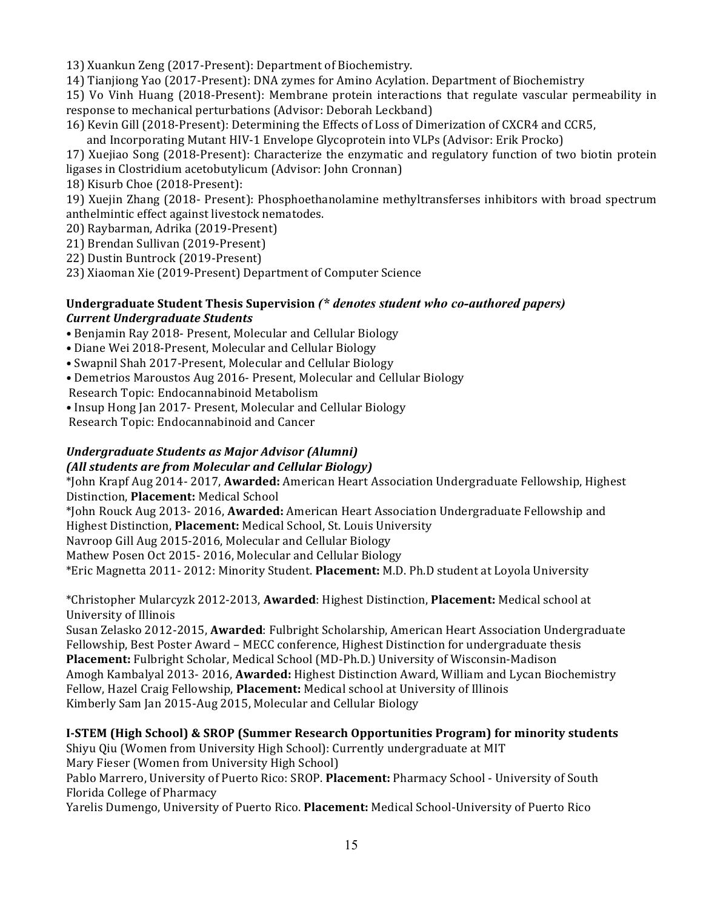13) Xuankun Zeng (2017-Present): Department of Biochemistry.

14) Tianjiong Yao (2017-Present): DNA zymes for Amino Acylation. Department of Biochemistry

15) Vo Vinh Huang (2018-Present): Membrane protein interactions that regulate vascular permeability in response to mechanical perturbations (Advisor: Deborah Leckband)

16) Kevin Gill (2018-Present): Determining the Effects of Loss of Dimerization of CXCR4 and CCR5,

and Incorporating Mutant HIV-1 Envelope Glycoprotein into VLPs (Advisor: Erik Procko)

17) Xuejiao Song (2018-Present): Characterize the enzymatic and regulatory function of two biotin protein ligases in Clostridium acetobutylicum (Advisor: John Cronnan)

18) Kisurb Choe (2018-Present):

19) Xuejin Zhang (2018- Present): Phosphoethanolamine methyltransferses inhibitors with broad spectrum anthelmintic effect against livestock nematodes.

- 20) Raybarman, Adrika (2019-Present)
- 21) Brendan Sullivan (2019-Present)
- 22) Dustin Buntrock (2019-Present)
- 23) Xiaoman Xie (2019-Present) Department of Computer Science

# Undergraduate Student Thesis Supervision (\* *denotes student who co-authored papers*) *Current Undergraduate Students*

- Benjamin Ray 2018- Present, Molecular and Cellular Biology
- Diane Wei 2018-Present, Molecular and Cellular Biology
- Swapnil Shah 2017-Present, Molecular and Cellular Biology
- Demetrios Maroustos Aug 2016- Present, Molecular and Cellular Biology
- Research Topic: Endocannabinoid Metabolism
- Insup Hong Jan 2017- Present, Molecular and Cellular Biology

Research Topic: Endocannabinoid and Cancer

#### *Undergraduate Students as Major Advisor (Alumni) (All students are from Molecular and Cellular Biology)*

\*John Krapf Aug 2014- 2017, **Awarded:** American Heart Association Undergraduate Fellowship, Highest Distinction, **Placement:** Medical School

\*John Rouck Aug 2013- 2016, **Awarded:** American Heart Association Undergraduate Fellowship and Highest Distinction, **Placement:** Medical School, St. Louis University

Navroop Gill Aug 2015-2016, Molecular and Cellular Biology

Mathew Posen Oct 2015- 2016, Molecular and Cellular Biology

\*Eric Magnetta 2011- 2012: Minority Student. **Placement:** M.D. Ph.D student at Loyola University

\*Christopher Mularcyzk 2012-2013, **Awarded**: Highest Distinction, **Placement:** Medical school at University of Illinois 

Susan Zelasko 2012-2015, **Awarded**: Fulbright Scholarship, American Heart Association Undergraduate Fellowship, Best Poster Award - MECC conference, Highest Distinction for undergraduate thesis **Placement:** Fulbright Scholar, Medical School (MD-Ph.D.) University of Wisconsin-Madison Amogh Kambalyal 2013- 2016, **Awarded:** Highest Distinction Award, William and Lycan Biochemistry Fellow, Hazel Craig Fellowship, Placement: Medical school at University of Illinois Kimberly Sam Jan 2015-Aug 2015, Molecular and Cellular Biology

# **I-STEM (High School) & SROP (Summer Research Opportunities Program) for minority students**

Shiyu Qiu (Women from University High School): Currently undergraduate at MIT Mary Fieser (Women from University High School)

Pablo Marrero, University of Puerto Rico: SROP. Placement: Pharmacy School - University of South Florida College of Pharmacy

Yarelis Dumengo, University of Puerto Rico. Placement: Medical School-University of Puerto Rico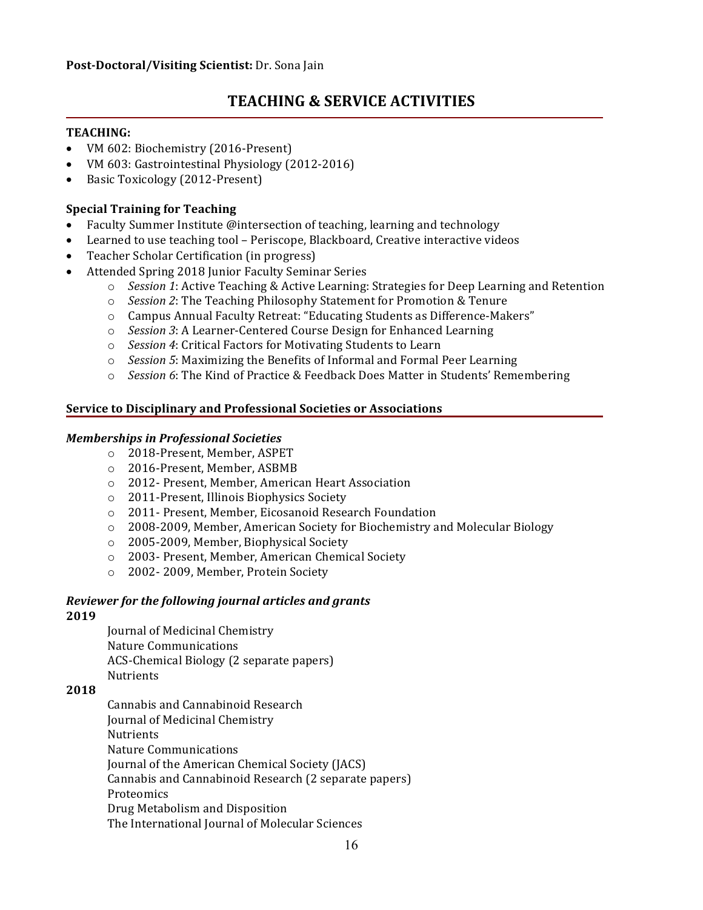# **TEACHING & SERVICE ACTIVITIES**

# **TEACHING:**

- VM 602: Biochemistry (2016-Present)
- VM 603: Gastrointestinal Physiology (2012-2016)
- Basic Toxicology (2012-Present)

# **Special Training for Teaching**

- Faculty Summer Institute @intersection of teaching, learning and technology
- Learned to use teaching tool Periscope, Blackboard, Creative interactive videos
- Teacher Scholar Certification (in progress)
- Attended Spring 2018 Junior Faculty Seminar Series
	- $\circ$  *Session* 1: Active Teaching & Active Learning: Strategies for Deep Learning and Retention
	- $\circ$  *Session 2*: The Teaching Philosophy Statement for Promotion & Tenure
	- o Campus Annual Faculty Retreat: "Educating Students as Difference-Makers"
	- o *Session 3*: A Learner-Centered Course Design for Enhanced Learning
	- o *Session 4*: Critical Factors for Motivating Students to Learn
	- o *Session* 5: Maximizing the Benefits of Informal and Formal Peer Learning
	- *Session* 6: The Kind of Practice & Feedback Does Matter in Students' Remembering

#### **Service to Disciplinary and Professional Societies or Associations**

#### *Memberships in Professional Societies*

- o 2018-Present, Member, ASPET
- o 2016-Present, Member, ASBMB
- o 2012- Present, Member, American Heart Association
- o 2011-Present, Illinois Biophysics Society
- o 2011- Present, Member, Eicosanoid Research Foundation
- o 2008-2009, Member, American Society for Biochemistry and Molecular Biology
- $\circ$  2005-2009, Member, Biophysical Society
- o 2003- Present, Member, American Chemical Society
- o 2002-2009, Member, Protein Society

# *Reviewer for the following journal articles and grants*

#### **2019**

Journal of Medicinal Chemistry Nature Communications ACS-Chemical Biology (2 separate papers) **Nutrients** 

#### **2018**

Cannabis and Cannabinoid Research Journal of Medicinal Chemistry **Nutrients** Nature Communications Journal of the American Chemical Society (JACS) Cannabis and Cannabinoid Research (2 separate papers) **Proteomics** Drug Metabolism and Disposition The International Journal of Molecular Sciences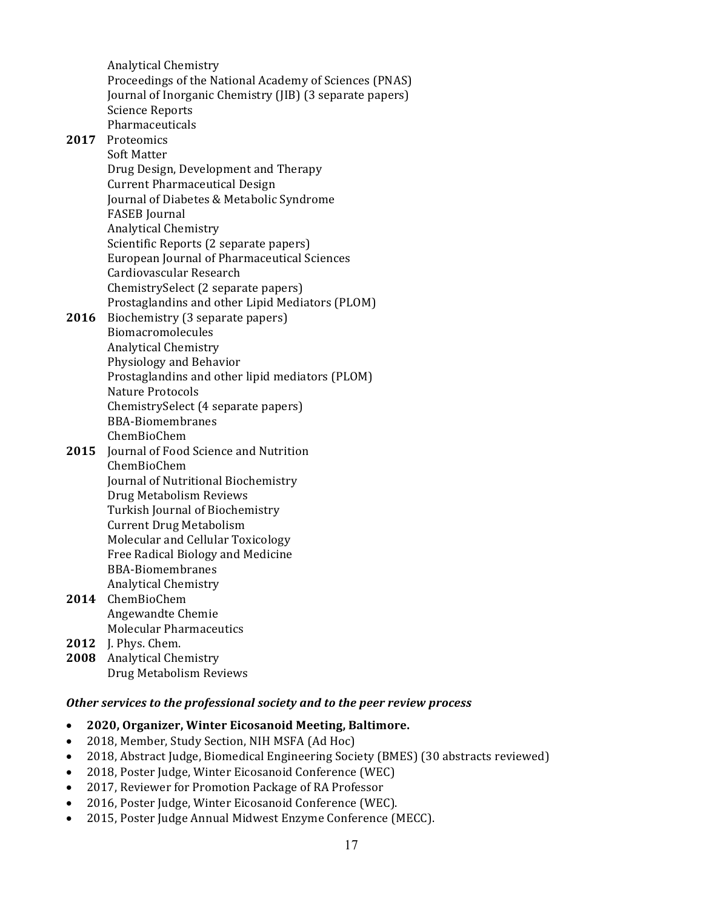Analytical Chemistry Proceedings of the National Academy of Sciences (PNAS) Journal of Inorganic Chemistry (JIB) (3 separate papers) Science Reports Pharmaceuticals

# 2017 Proteomics

Soft Matter Drug Design, Development and Therapy Current Pharmaceutical Design Journal of Diabetes & Metabolic Syndrome FASEB Journal Analytical Chemistry Scientific Reports (2 separate papers) European Journal of Pharmaceutical Sciences Cardiovascular Research ChemistrySelect (2 separate papers) Prostaglandins and other Lipid Mediators (PLOM)

#### **2016** Biochemistry (3 separate papers) Biomacromolecules Analytical Chemistry Physiology and Behavior Prostaglandins and other lipid mediators (PLOM) Nature Protocols ChemistrySelect (4 separate papers) BBA-Biomembranes ChemBioChem

#### **2015** Journal of Food Science and Nutrition ChemBioChem Journal of Nutritional Biochemistry Drug Metabolism Reviews Turkish Journal of Biochemistry **Current Drug Metabolism** Molecular and Cellular Toxicology Free Radical Biology and Medicine BBA-Biomembranes Analytical Chemistry

- **2014** ChemBioChem Angewandte Chemie Molecular Pharmaceutics
- **2012** J. Phys. Chem.
- 2008 Analytical Chemistry Drug Metabolism Reviews

# **Other services to the professional society and to the peer review process**

# • **2020, Organizer, Winter Eicosanoid Meeting, Baltimore.**

- 2018, Member, Study Section, NIH MSFA (Ad Hoc)
- 2018, Abstract Judge, Biomedical Engineering Society (BMES) (30 abstracts reviewed)
- 2018, Poster Judge, Winter Eicosanoid Conference (WEC)
- 2017, Reviewer for Promotion Package of RA Professor
- 2016, Poster Judge, Winter Eicosanoid Conference (WEC).
- 2015, Poster Judge Annual Midwest Enzyme Conference (MECC).